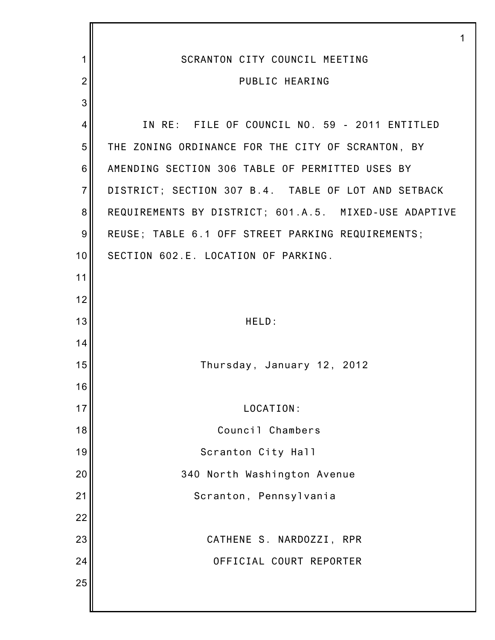|                         | 1                                                     |
|-------------------------|-------------------------------------------------------|
| 1                       | SCRANTON CITY COUNCIL MEETING                         |
| $\overline{2}$          | PUBLIC HEARING                                        |
| 3                       |                                                       |
| $\overline{\mathbf{4}}$ | IN RE: FILE OF COUNCIL NO. 59 - 2011 ENTITLED         |
| 5                       | THE ZONING ORDINANCE FOR THE CITY OF SCRANTON, BY     |
| 6                       | AMENDING SECTION 306 TABLE OF PERMITTED USES BY       |
| $\overline{7}$          | DISTRICT; SECTION 307 B.4. TABLE OF LOT AND SETBACK   |
| 8                       | REQUIREMENTS BY DISTRICT; 601.A.5. MIXED-USE ADAPTIVE |
| $\boldsymbol{9}$        | REUSE; TABLE 6.1 OFF STREET PARKING REQUIREMENTS;     |
| 10                      | SECTION 602.E. LOCATION OF PARKING.                   |
| 11                      |                                                       |
| 12                      |                                                       |
| 13                      | HELD:                                                 |
| 14                      |                                                       |
| 15                      | Thursday, January 12, 2012                            |
| 16                      |                                                       |
| 17                      | LOCATION:                                             |
| 18                      | Council Chambers                                      |
| 19                      | Scranton City Hall                                    |
| 20                      | 340 North Washington Avenue                           |
| 21                      | Scranton, Pennsylvania                                |
| 22                      |                                                       |
| 23                      | CATHENE S. NARDOZZI, RPR                              |
| 24                      | OFFICIAL COURT REPORTER                               |
| 25                      |                                                       |
|                         |                                                       |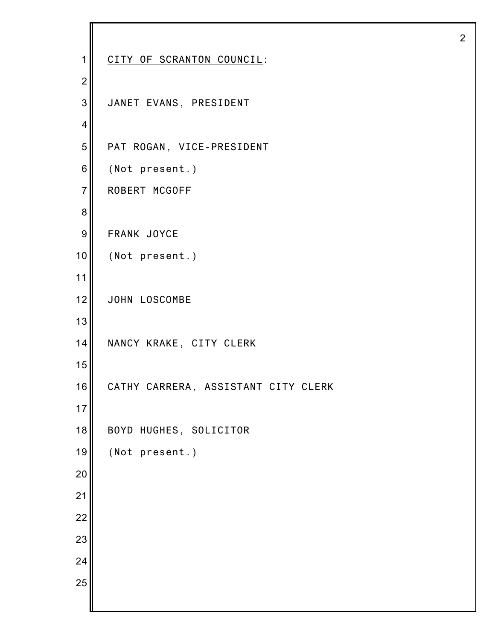| 1                       | CITY OF SCRANTON COUNCIL:           |
|-------------------------|-------------------------------------|
| $\overline{2}$          |                                     |
| 3                       | JANET EVANS, PRESIDENT              |
| $\overline{\mathbf{4}}$ |                                     |
| 5                       | PAT ROGAN, VICE-PRESIDENT           |
| $\,6$                   | (Not present.)                      |
| $\overline{7}$          | ROBERT MCGOFF                       |
| 8                       |                                     |
| $\boldsymbol{9}$        | FRANK JOYCE                         |
| 10                      | (Not present.)                      |
| 11                      |                                     |
| 12                      | JOHN LOSCOMBE                       |
| 13                      |                                     |
| 14                      | NANCY KRAKE, CITY CLERK             |
| 15                      |                                     |
| 16                      | CATHY CARRERA, ASSISTANT CITY CLERK |
| 17                      |                                     |
| 18                      | BOYD<br>HUGHES, SOLICITOR           |
| 19                      | (Not present.)                      |
| 20                      |                                     |
| 21                      |                                     |
| 22                      |                                     |
| 23                      |                                     |
| 24                      |                                     |
| 25                      |                                     |
|                         |                                     |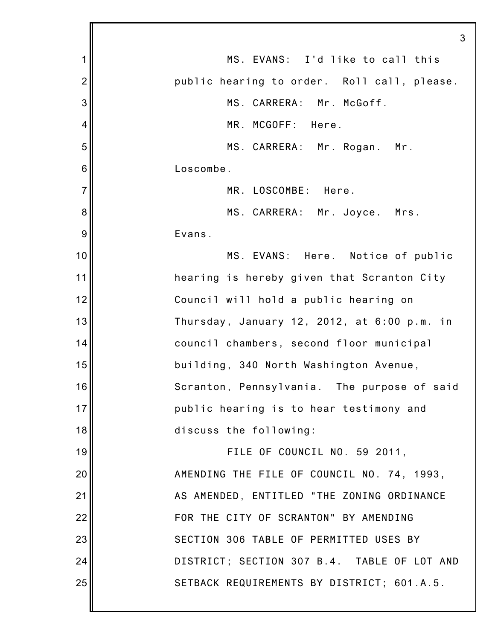|                 | 3                                           |
|-----------------|---------------------------------------------|
| 1               | MS. EVANS: I'd like to call this            |
| $\overline{2}$  | public hearing to order. Roll call, please. |
| 3               | MS. CARRERA: Mr. McGoff.                    |
| 4               | MR. MCGOFF: Here.                           |
| 5               | MS. CARRERA: Mr. Rogan. Mr.                 |
| $6\phantom{1}6$ | Loscombe.                                   |
| $\overline{7}$  | MR. LOSCOMBE: Here.                         |
| 8               | MS. CARRERA: Mr. Joyce. Mrs.                |
| 9               | Evans.                                      |
| 10              | MS. EVANS: Here. Notice of public           |
| 11              | hearing is hereby given that Scranton City  |
| 12              | Council will hold a public hearing on       |
| 13              | Thursday, January 12, 2012, at 6:00 p.m. in |
| 14              | council chambers, second floor municipal    |
| 15              | building, 340 North Washington Avenue,      |
| 16              | Scranton, Pennsylvania. The purpose of said |
| 17              | public hearing is to hear testimony and     |
| 18              | discuss the following:                      |
| 19              | FILE OF COUNCIL NO. 59 2011,                |
| 20              | AMENDING THE FILE OF COUNCIL NO. 74, 1993,  |
| 21              | AS AMENDED, ENTITLED "THE ZONING ORDINANCE  |
| 22              | FOR THE CITY OF SCRANTON" BY AMENDING       |
| 23              | SECTION 306 TABLE OF PERMITTED USES BY      |
| 24              | DISTRICT; SECTION 307 B.4. TABLE OF LOT AND |
| 25              | SETBACK REQUIREMENTS BY DISTRICT; 601.A.5.  |
|                 |                                             |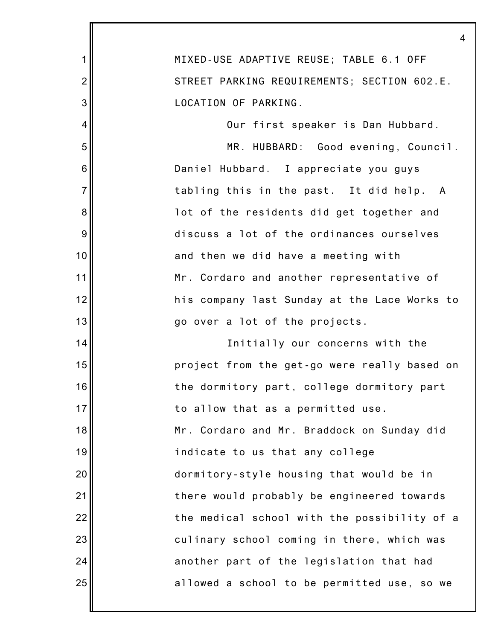|                | 4                                            |
|----------------|----------------------------------------------|
| 1              | MIXED-USE ADAPTIVE REUSE; TABLE 6.1 OFF      |
| $\overline{2}$ | STREET PARKING REQUIREMENTS; SECTION 602.E.  |
| 3              | LOCATION OF PARKING.                         |
| 4              | Our first speaker is Dan Hubbard.            |
| 5              | MR. HUBBARD: Good evening, Council.          |
| 6              | Daniel Hubbard. I appreciate you guys        |
| $\overline{7}$ | tabling this in the past. It did help. A     |
| 8              | lot of the residents did get together and    |
| 9              | discuss a lot of the ordinances ourselves    |
| 10             | and then we did have a meeting with          |
| 11             | Mr. Cordaro and another representative of    |
| 12             | his company last Sunday at the Lace Works to |
| 13             | go over a lot of the projects.               |
| 14             | Initially our concerns with the              |
| 15             | project from the get-go were really based on |
| 16             | the dormitory part, college dormitory part   |
| 17             | to allow that as a permitted use.            |
| 18             | Mr. Cordaro and Mr. Braddock on Sunday did   |
| 19             | indicate to us that any college              |
| 20             | dormitory-style housing that would be in     |
| 21             | there would probably be engineered towards   |
| 22             | the medical school with the possibility of a |
| 23             | culinary school coming in there, which was   |
| 24             | another part of the legislation that had     |
| 25             | allowed a school to be permitted use, so we  |
|                |                                              |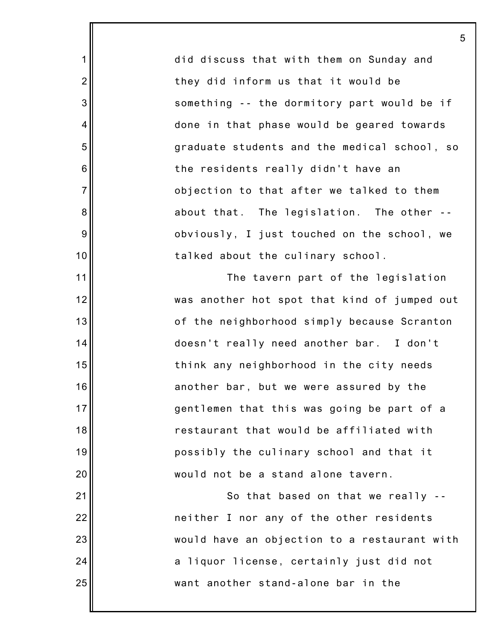did discuss that with them on Sunday and they did inform us that it would be something -- the dormitory part would be if done in that phase would be geared towards graduate students and the medical school, so the residents really didn't have an objection to that after we talked to them about that. The legislation. The other - obviously, I just touched on the school, we talked about the culinary school.

1

2

3

4

5

6

7

8

9

10

11

12

13

14

15

16

17

18

19

20

21

22

23

24

25

The tavern part of the legislation was another hot spot that kind of jumped out of the neighborhood simply because Scranton doesn't really need another bar. I don't think any neighborhood in the city needs another bar, but we were assured by the gentlemen that this was going be part of a restaurant that would be affiliated with possibly the culinary school and that it would not be a stand alone tavern.

So that based on that we really - neither I nor any of the other residents would have an objection to a restaurant with a liquor license, certainly just did not want another stand-alone bar in the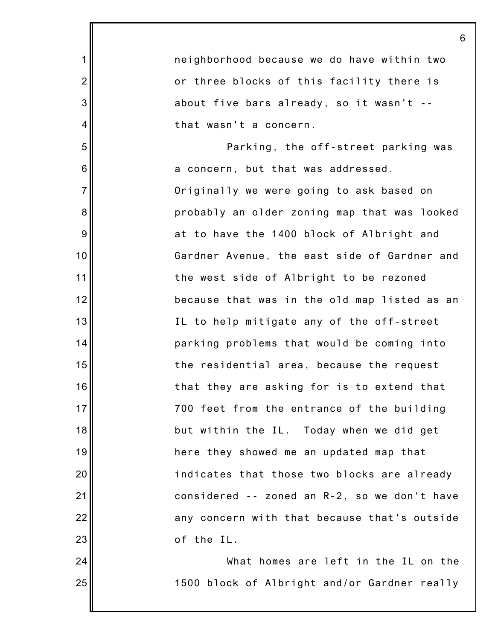|                | 6                                            |
|----------------|----------------------------------------------|
| $\mathbf 1$    | neighborhood because we do have within two   |
| $\overline{2}$ | or three blocks of this facility there is    |
| 3              | about five bars already, so it wasn't --     |
| 4              | that wasn't a concern.                       |
| 5              | Parking, the off-street parking was          |
| 6              | a concern, but that was addressed.           |
| $\overline{7}$ | Originally we were going to ask based on     |
| 8              | probably an older zoning map that was looked |
| 9              | at to have the 1400 block of Albright and    |
| 10             | Gardner Avenue, the east side of Gardner and |
| 11             | the west side of Albright to be rezoned      |
| 12             | because that was in the old map listed as an |
| 13             | IL to help mitigate any of the off-street    |
| 14             | parking problems that would be coming into   |
| 15             | the residential area, because the request    |
| 16             | that they are asking for is to extend that   |
| 17             | 700 feet from the entrance of the building   |
| 18             | but within the IL. Today when we did get     |
| 19             | here they showed me an updated map that      |
| 20             | indicates that those two blocks are already  |
| 21             | considered -- zoned an R-2, so we don't have |
| 22             | any concern with that because that's outside |
| 23             | of the IL.                                   |
| 24             | What homes are left in the IL on the         |
| 25             | 1500 block of Albright and/or Gardner really |
|                |                                              |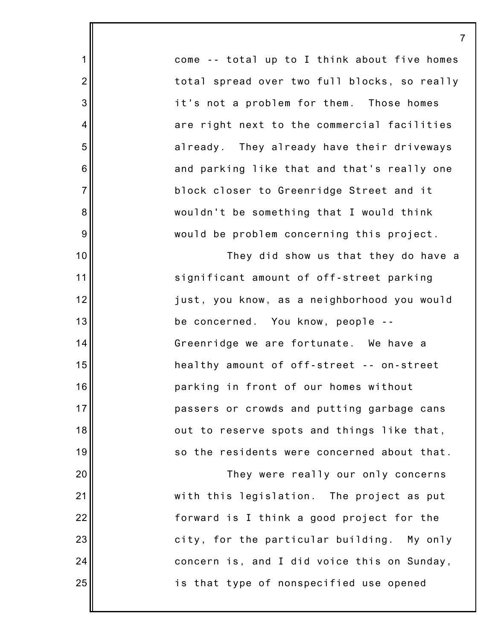come -- total up to I think about five homes total spread over two full blocks, so really it's not a problem for them. Those homes are right next to the commercial facilities already. They already have their driveways and parking like that and that's really one block closer to Greenridge Street and it wouldn't be something that I would think would be problem concerning this project.

1

2

3

4

5

6

7

8

9

10

11

12

13

14

15

16

17

18

19

20

21

22

23

24

25

They did show us that they do have a significant amount of off-street parking just, you know, as a neighborhood you would be concerned. You know, people -- Greenridge we are fortunate. We have a healthy amount of off-street -- on-street parking in front of our homes without passers or crowds and putting garbage cans out to reserve spots and things like that, so the residents were concerned about that.

They were really our only concerns with this legislation. The project as put forward is I think a good project for the city, for the particular building. My only concern is, and I did voice this on Sunday, is that type of nonspecified use opened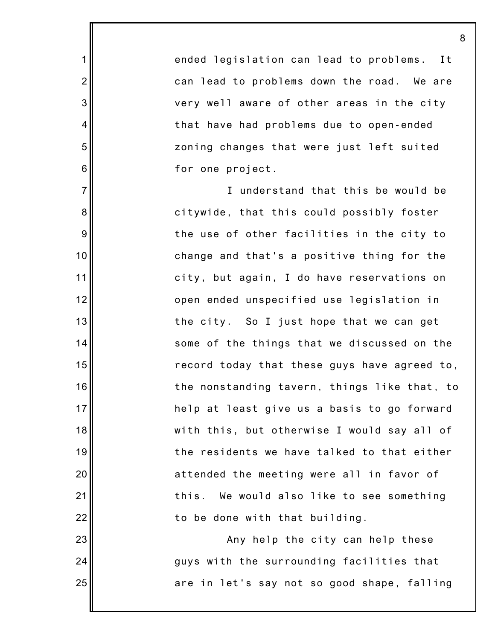ended legislation can lead to problems. It can lead to problems down the road. We are very well aware of other areas in the city that have had problems due to open-ended zoning changes that were just left suited for one project.

1

2

3

4

5

6

7

8

9

10

11

12

13

14

15

16

17

18

19

20

21

22

23

24

25

I understand that this be would be citywide, that this could possibly foster the use of other facilities in the city to change and that's a positive thing for the city, but again, I do have reservations on open ended unspecified use legislation in the city. So I just hope that we can get some of the things that we discussed on the record today that these guys have agreed to, the nonstanding tavern, things like that, to help at least give us a basis to go forward with this, but otherwise I would say all of the residents we have talked to that either attended the meeting were all in favor of this. We would also like to see something to be done with that building.

Any help the city can help these guys with the surrounding facilities that are in let's say not so good shape, falling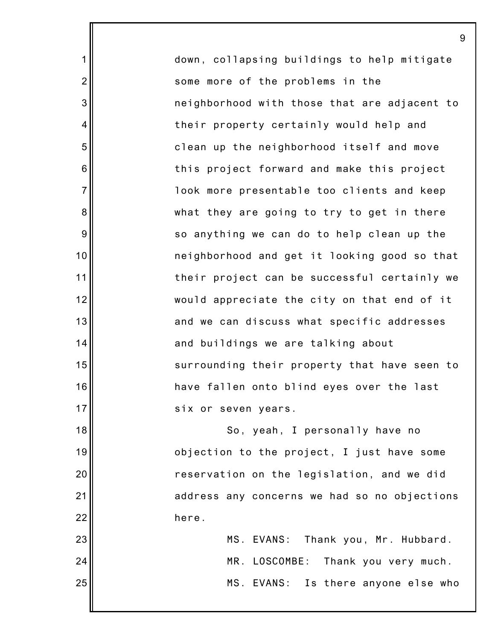down, collapsing buildings to help mitigate some more of the problems in the neighborhood with those that are adjacent to their property certainly would help and clean up the neighborhood itself and move this project forward and make this project look more presentable too clients and keep what they are going to try to get in there so anything we can do to help clean up the neighborhood and get it looking good so that their project can be successful certainly we would appreciate the city on that end of it and we can discuss what specific addresses and buildings we are talking about surrounding their property that have seen to have fallen onto blind eyes over the last six or seven years. So, yeah, I personally have no

9

1

2

3

4

5

6

7

8

9

10

11

12

13

14

15

16

17

18

19

20

21

22

23

24

25

objection to the project, I just have some reservation on the legislation, and we did address any concerns we had so no objections here.

> MS. EVANS: Thank you, Mr. Hubbard. MR. LOSCOMBE: Thank you very much. MS. EVANS: Is there anyone else who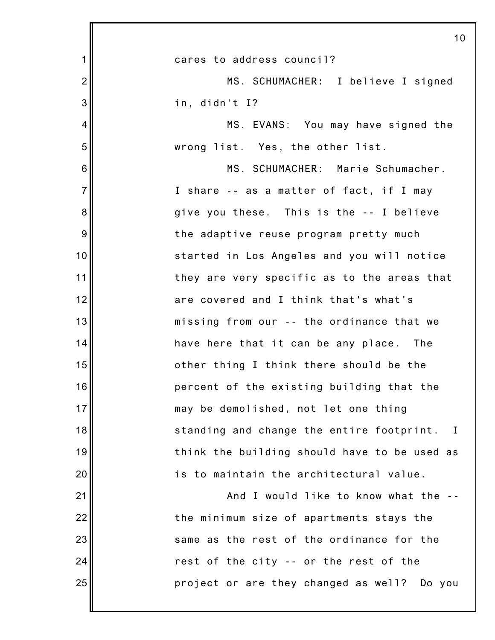|                | 10                                           |
|----------------|----------------------------------------------|
| 1              | cares to address council?                    |
| $\overline{2}$ | MS. SCHUMACHER: I believe I signed           |
| 3              | in, didn't I?                                |
| 4              | MS. EVANS: You may have signed the           |
| 5              | wrong list. Yes, the other list.             |
| 6              | MS. SCHUMACHER: Marie Schumacher.            |
| $\overline{7}$ | I share -- as a matter of fact, if I may     |
| 8              | give you these. This is the -- I believe     |
| 9              | the adaptive reuse program pretty much       |
| 10             | started in Los Angeles and you will notice   |
| 11             | they are very specific as to the areas that  |
| 12             | are covered and I think that's what's        |
| 13             | missing from our -- the ordinance that we    |
| 14             | have here that it can be any place. The      |
| 15             | other thing I think there should be the      |
| 16             | percent of the existing building that the    |
| 17             | may be demolished, not let one thing         |
| 18             | standing and change the entire footprint. I  |
| 19             | think the building should have to be used as |
| 20             | is to maintain the architectural value.      |
| 21             | And I would like to know what the --         |
| 22             | the minimum size of apartments stays the     |
| 23             | same as the rest of the ordinance for the    |
| 24             | rest of the city -- or the rest of the       |
| 25             | project or are they changed as well? Do you  |
|                |                                              |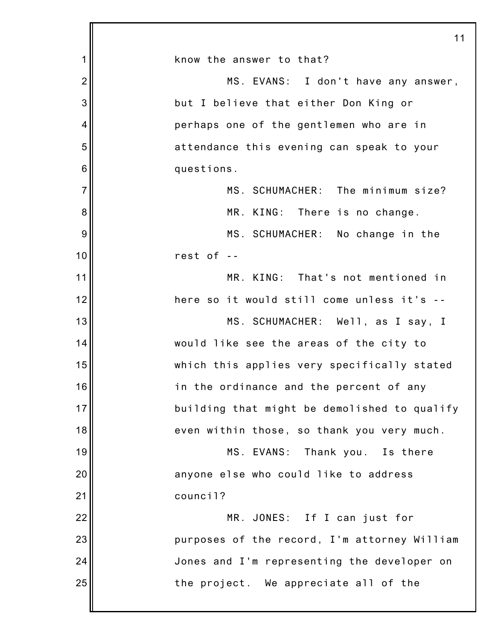|                | 11                                           |
|----------------|----------------------------------------------|
| 1              | know the answer to that?                     |
| $\overline{2}$ | MS. EVANS: I don't have any answer,          |
| 3              | but I believe that either Don King or        |
| 4              | perhaps one of the gentlemen who are in      |
| 5              | attendance this evening can speak to your    |
| 6              | questions.                                   |
| $\overline{7}$ | MS. SCHUMACHER: The minimum size?            |
| 8              | MR. KING: There is no change.                |
| 9              | MS. SCHUMACHER: No change in the             |
| 10             | rest of --                                   |
| 11             | MR. KING: That's not mentioned in            |
| 12             | here so it would still come unless it's --   |
| 13             | MS. SCHUMACHER: Well, as I say, I            |
| 14             | would like see the areas of the city to      |
| 15             | which this applies very specifically stated  |
| 16             | in the ordinance and the percent of any      |
| 17             | building that might be demolished to qualify |
| 18             | even within those, so thank you very much.   |
| 19             | MS. EVANS:<br>Thank you. Is there            |
| 20             | anyone else who could like to address        |
| 21             | council?                                     |
| 22             | MR. JONES: If I can just for                 |
| 23             | purposes of the record, I'm attorney William |
| 24             | Jones and I'm representing the developer on  |
| 25             | the project. We appreciate all of the        |
|                |                                              |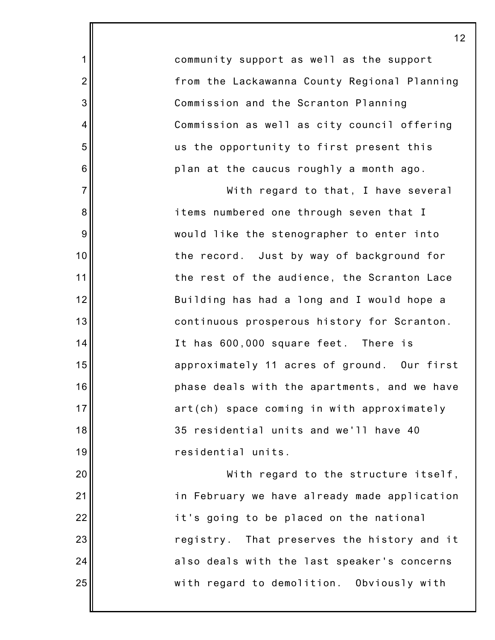community support as well as the support from the Lackawanna County Regional Planning Commission and the Scranton Planning Commission as well as city council offering us the opportunity to first present this plan at the caucus roughly a month ago.

1

2

3

4

5

6

7

8

9

10

11

12

13

14

15

16

17

18

19

20

21

22

23

24

25

With regard to that, I have several items numbered one through seven that I would like the stenographer to enter into the record. Just by way of background for the rest of the audience, the Scranton Lace Building has had a long and I would hope a continuous prosperous history for Scranton. It has 600,000 square feet. There is approximately 11 acres of ground. Our first phase deals with the apartments, and we have art(ch) space coming in with approximately 35 residential units and we'll have 40 residential units.

With regard to the structure itself, in February we have already made application it's going to be placed on the national registry. That preserves the history and it also deals with the last speaker's concerns with regard to demolition. Obviously with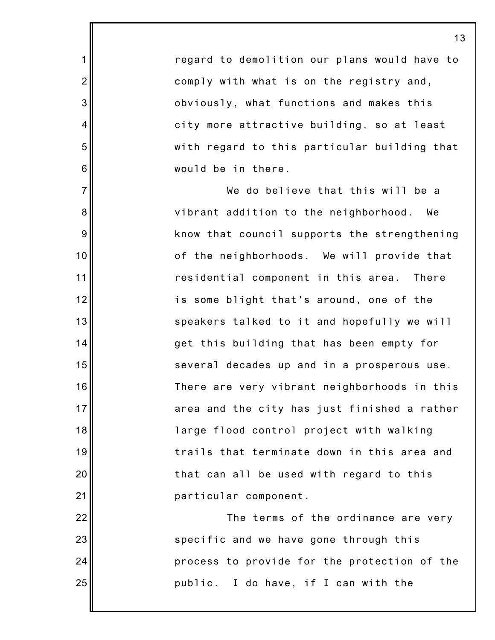regard to demolition our plans would have to comply with what is on the registry and, obviously, what functions and makes this city more attractive building, so at least with regard to this particular building that would be in there.

1

2

3

4

5

6

7

8

9

10

11

12

13

14

15

16

17

18

19

20

21

We do believe that this will be a vibrant addition to the neighborhood. We know that council supports the strengthening of the neighborhoods. We will provide that residential component in this area. There is some blight that's around, one of the speakers talked to it and hopefully we will get this building that has been empty for several decades up and in a prosperous use. There are very vibrant neighborhoods in this area and the city has just finished a rather large flood control project with walking trails that terminate down in this area and that can all be used with regard to this particular component.

22 23 24 25 The terms of the ordinance are very specific and we have gone through this process to provide for the protection of the public. I do have, if I can with the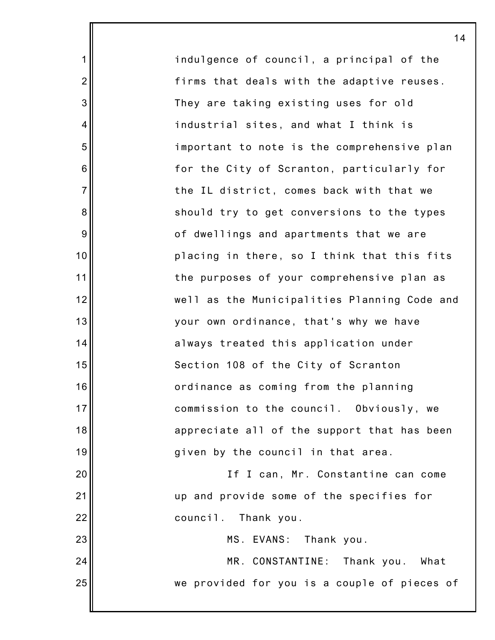indulgence of council, a principal of the firms that deals with the adaptive reuses. They are taking existing uses for old industrial sites, and what I think is important to note is the comprehensive plan for the City of Scranton, particularly for the IL district, comes back with that we should try to get conversions to the types of dwellings and apartments that we are placing in there, so I think that this fits the purposes of your comprehensive plan as well as the Municipalities Planning Code and your own ordinance, that's why we have always treated this application under Section 108 of the City of Scranton ordinance as coming from the planning commission to the council. Obviously, we appreciate all of the support that has been given by the council in that area. If I can, Mr. Constantine can come up and provide some of the specifies for council. Thank you. MS. EVANS: Thank you. MR. CONSTANTINE: Thank you. What

we provided for you is a couple of pieces of

1

2

3

4

5

6

7

8

9

10

11

12

13

14

15

16

17

18

19

20

21

22

23

24

25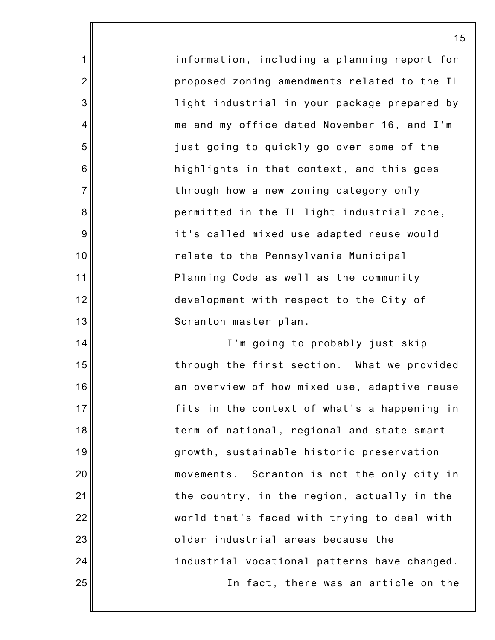information, including a planning report for proposed zoning amendments related to the IL light industrial in your package prepared by me and my office dated November 16, and I'm just going to quickly go over some of the highlights in that context, and this goes through how a new zoning category only permitted in the IL light industrial zone, it's called mixed use adapted reuse would relate to the Pennsylvania Municipal Planning Code as well as the community development with respect to the City of Scranton master plan.

1

2

3

4

5

6

7

8

9

10

11

12

13

14

15

16

17

18

19

20

21

22

23

24

25

I'm going to probably just skip through the first section. What we provided an overview of how mixed use, adaptive reuse fits in the context of what's a happening in term of national, regional and state smart growth, sustainable historic preservation movements. Scranton is not the only city in the country, in the region, actually in the world that's faced with trying to deal with older industrial areas because the industrial vocational patterns have changed. In fact, there was an article on the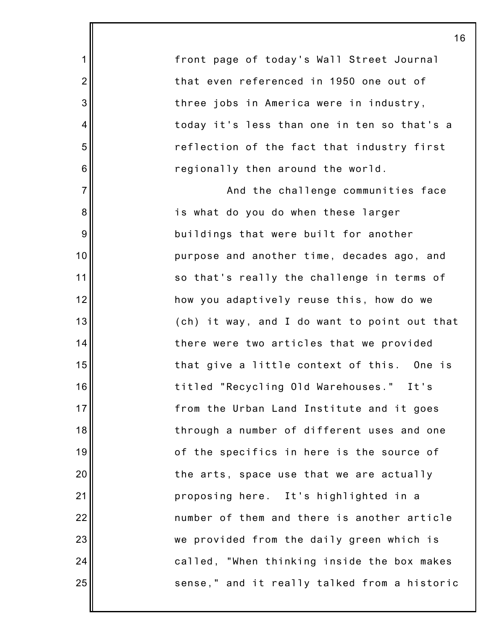front page of today's Wall Street Journal that even referenced in 1950 one out of three jobs in America were in industry, today it's less than one in ten so that's a reflection of the fact that industry first regionally then around the world.

1

2

3

4

5

6

7

8

9

10

11

12

13

14

15

16

17

18

19

20

21

22

23

24

25

And the challenge communities face is what do you do when these larger buildings that were built for another purpose and another time, decades ago, and so that's really the challenge in terms of how you adaptively reuse this, how do we (ch) it way, and I do want to point out that there were two articles that we provided that give a little context of this. One is titled "Recycling Old Warehouses." It's from the Urban Land Institute and it goes through a number of different uses and one of the specifics in here is the source of the arts, space use that we are actually proposing here. It's highlighted in a number of them and there is another article we provided from the daily green which is called, "When thinking inside the box makes sense," and it really talked from a historic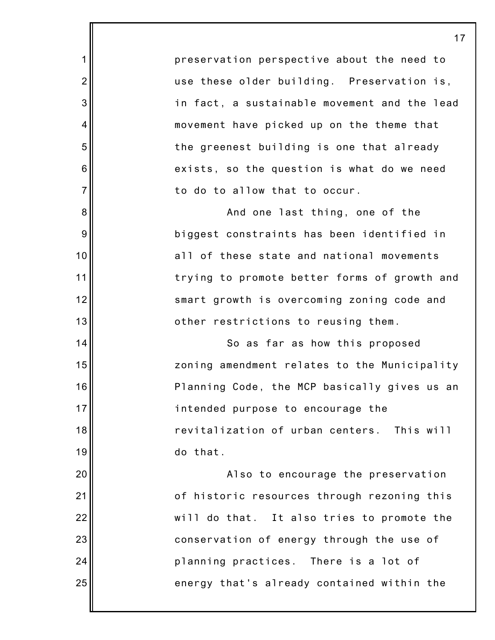preservation perspective about the need to use these older building. Preservation is, in fact, a sustainable movement and the lead movement have picked up on the theme that the greenest building is one that already exists, so the question is what do we need to do to allow that to occur.

1

2

3

4

5

6

7

8

9

10

11

12

13

14

15

16

17

18

19

20

21

22

23

24

25

And one last thing, one of the biggest constraints has been identified in all of these state and national movements trying to promote better forms of growth and smart growth is overcoming zoning code and other restrictions to reusing them.

So as far as how this proposed zoning amendment relates to the Municipality Planning Code, the MCP basically gives us an intended purpose to encourage the revitalization of urban centers. This will do that.

Also to encourage the preservation of historic resources through rezoning this will do that. It also tries to promote the conservation of energy through the use of planning practices. There is a lot of energy that's already contained within the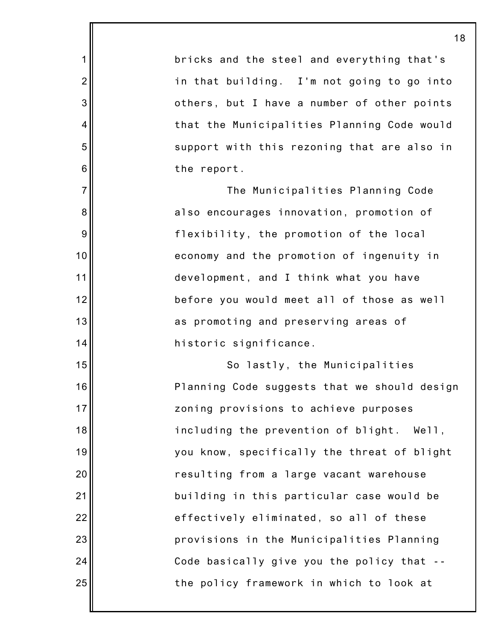bricks and the steel and everything that's in that building. I'm not going to go into others, but I have a number of other points that the Municipalities Planning Code would support with this rezoning that are also in the report.

1

2

3

4

5

6

7

8

9

10

11

12

13

14

15

16

17

18

19

20

21

22

23

24

25

The Municipalities Planning Code also encourages innovation, promotion of flexibility, the promotion of the local economy and the promotion of ingenuity in development, and I think what you have before you would meet all of those as well as promoting and preserving areas of historic significance.

So lastly, the Municipalities Planning Code suggests that we should design zoning provisions to achieve purposes including the prevention of blight. Well, you know, specifically the threat of blight resulting from a large vacant warehouse building in this particular case would be effectively eliminated, so all of these provisions in the Municipalities Planning Code basically give you the policy that - the policy framework in which to look at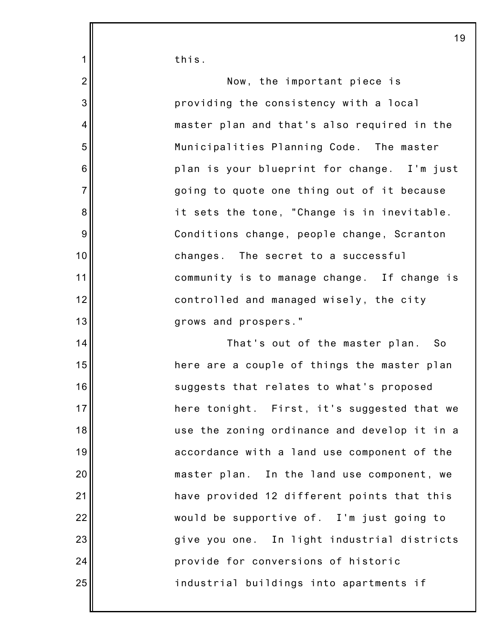this.

1

2

3

4

5

6

7

8

9

10

11

12

13

14

15

16

17

18

19

20

21

22

23

24

25

Now, the important piece is providing the consistency with a local master plan and that's also required in the Municipalities Planning Code. The master plan is your blueprint for change. I'm just going to quote one thing out of it because it sets the tone, "Change is in inevitable. Conditions change, people change, Scranton changes. The secret to a successful community is to manage change. If change is controlled and managed wisely, the city grows and prospers." That's out of the master plan. So here are a couple of things the master plan suggests that relates to what's proposed

here tonight. First, it's suggested that we use the zoning ordinance and develop it in a accordance with a land use component of the master plan. In the land use component, we have provided 12 different points that this would be supportive of. I'm just going to give you one. In light industrial districts provide for conversions of historic industrial buildings into apartments if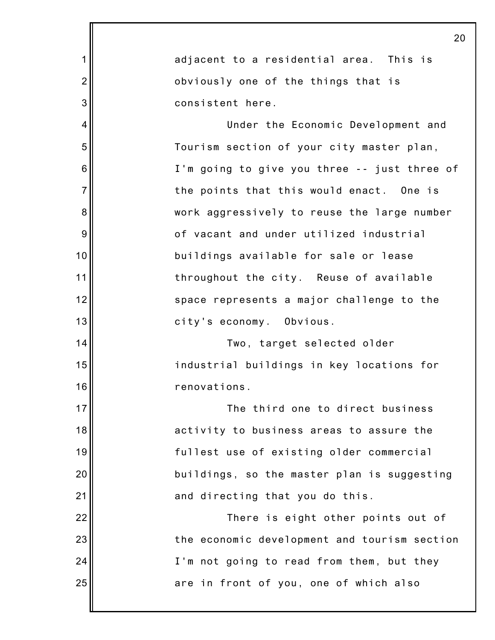|                | 20                                           |
|----------------|----------------------------------------------|
| 1              | adjacent to a residential area. This is      |
| $\overline{2}$ | obviously one of the things that is          |
| 3              | consistent here.                             |
| 4              | Under the Economic Development and           |
| 5              | Tourism section of your city master plan,    |
| 6              | I'm going to give you three -- just three of |
| $\overline{7}$ | the points that this would enact. One is     |
| 8              | work aggressively to reuse the large number  |
| 9              | of vacant and under utilized industrial      |
| 10             | buildings available for sale or lease        |
| 11             | throughout the city. Reuse of available      |
| 12             | space represents a major challenge to the    |
| 13             | city's economy. Obvious.                     |
| 14             | Two, target selected older                   |
| 15             | industrial buildings in key locations for    |
| 16             | renovations.                                 |
| 17             | The third one to direct business             |
| 18             | activity to business areas to assure the     |
| 19             | fullest use of existing older commercial     |
| 20             | buildings, so the master plan is suggesting  |
| 21             | and directing that you do this.              |
| 22             | There is eight other points out of           |
| 23             | the economic development and tourism section |
| 24             | I'm not going to read from them, but they    |
| 25             | are in front of you, one of which also       |
|                |                                              |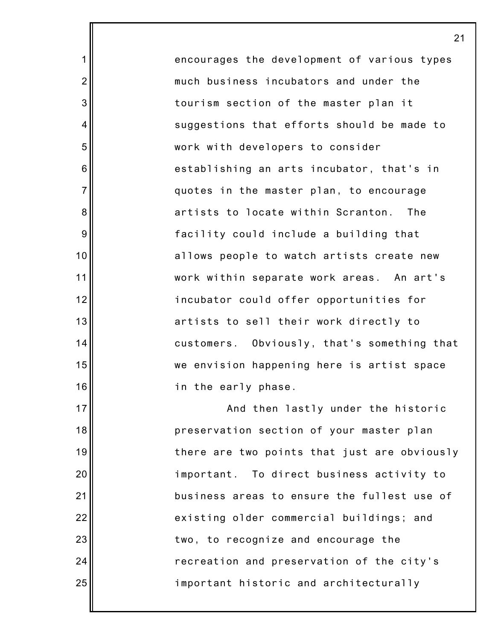encourages the development of various types much business incubators and under the tourism section of the master plan it suggestions that efforts should be made to work with developers to consider establishing an arts incubator, that's in quotes in the master plan, to encourage artists to locate within Scranton. The facility could include a building that allows people to watch artists create new work within separate work areas. An art's incubator could offer opportunities for artists to sell their work directly to customers. Obviously, that's something that we envision happening here is artist space in the early phase. And then lastly under the historic

1

2

3

4

5

6

7

8

9

10

11

12

13

14

15

16

17

18

19

20

21

22

23

24

25

preservation section of your master plan there are two points that just are obviously important. To direct business activity to business areas to ensure the fullest use of existing older commercial buildings; and two, to recognize and encourage the recreation and preservation of the city's important historic and architecturally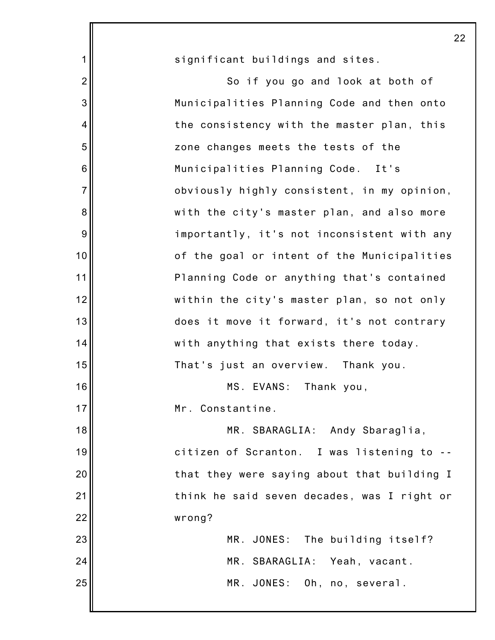|                 | 22                                          |
|-----------------|---------------------------------------------|
| 1               | significant buildings and sites.            |
| $\overline{2}$  | So if you go and look at both of            |
| 3               | Municipalities Planning Code and then onto  |
| 4               | the consistency with the master plan, this  |
| 5               | zone changes meets the tests of the         |
| $6\phantom{1}6$ | Municipalities Planning Code. It's          |
| $\overline{7}$  | obviously highly consistent, in my opinion, |
| 8               | with the city's master plan, and also more  |
| 9               | importantly, it's not inconsistent with any |
| 10              | of the goal or intent of the Municipalities |
| 11              | Planning Code or anything that's contained  |
| 12              | within the city's master plan, so not only  |
| 13              | does it move it forward, it's not contrary  |
| 14              | with anything that exists there today.      |
| 15              | That's just an overview. Thank you.         |
| 16              | MS. EVANS: Thank you,                       |
| 17              | Mr. Constantine.                            |
| 18              | MR. SBARAGLIA: Andy Sbaraglia,              |
| 19              | citizen of Scranton. I was listening to --  |
| 20              | that they were saying about that building I |
| 21              | think he said seven decades, was I right or |
| 22              | wrong?                                      |
| 23              | MR. JONES: The building itself?             |
| 24              | MR. SBARAGLIA: Yeah, vacant.                |
| 25              | MR. JONES: Oh, no, several.                 |
|                 |                                             |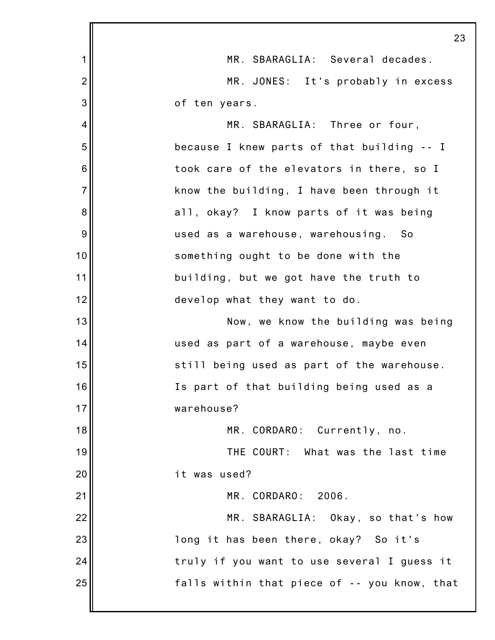|                | 23                                           |
|----------------|----------------------------------------------|
| 1              | MR. SBARAGLIA: Several decades.              |
| $\overline{2}$ | MR. JONES: It's probably in excess           |
| 3              | of ten years.                                |
| 4              | MR. SBARAGLIA: Three or four,                |
| 5              | because I knew parts of that building -- I   |
| 6              | took care of the elevators in there, so I    |
| $\overline{7}$ | know the building, I have been through it    |
| 8              | all, okay? I know parts of it was being      |
| 9              | used as a warehouse, warehousing. So         |
| 10             | something ought to be done with the          |
| 11             | building, but we got have the truth to       |
| 12             | develop what they want to do.                |
| 13             | Now, we know the building was being          |
| 14             | used as part of a warehouse, maybe even      |
| 15             | still being used as part of the warehouse.   |
| 16             | Is part of that building being used as a     |
| 17             | warehouse?                                   |
| 18             | MR. CORDARO: Currently, no.                  |
| 19             | THE COURT: What was the last time            |
| 20             | it was used?                                 |
| 21             | MR. CORDARO: 2006.                           |
| 22             | MR. SBARAGLIA: Okay, so that's how           |
| 23             | long it has been there, okay? So it's        |
| 24             | truly if you want to use several I guess it  |
| 25             | falls within that piece of -- you know, that |
|                |                                              |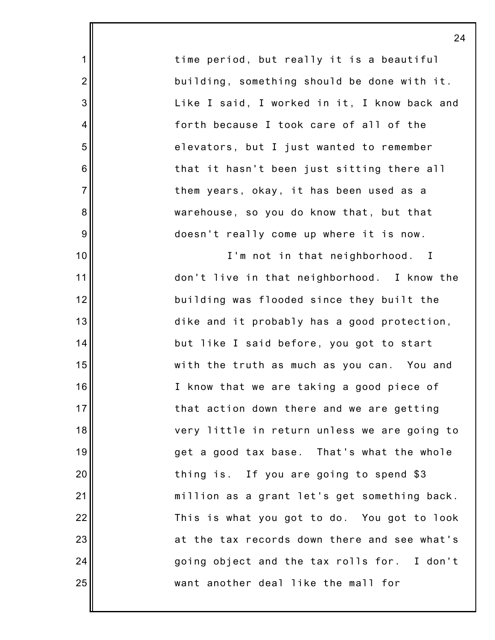time period, but really it is a beautiful building, something should be done with it. Like I said, I worked in it, I know back and forth because I took care of all of the elevators, but I just wanted to remember that it hasn't been just sitting there all them years, okay, it has been used as a warehouse, so you do know that, but that doesn't really come up where it is now.

1

2

3

4

5

6

7

8

9

10

11

12

13

14

15

16

17

18

19

20

21

22

23

24

25

I'm not in that neighborhood. I don't live in that neighborhood. I know the building was flooded since they built the dike and it probably has a good protection, but like I said before, you got to start with the truth as much as you can. You and I know that we are taking a good piece of that action down there and we are getting very little in return unless we are going to get a good tax base. That's what the whole thing is. If you are going to spend \$3 million as a grant let's get something back. This is what you got to do. You got to look at the tax records down there and see what's going object and the tax rolls for. I don't want another deal like the mall for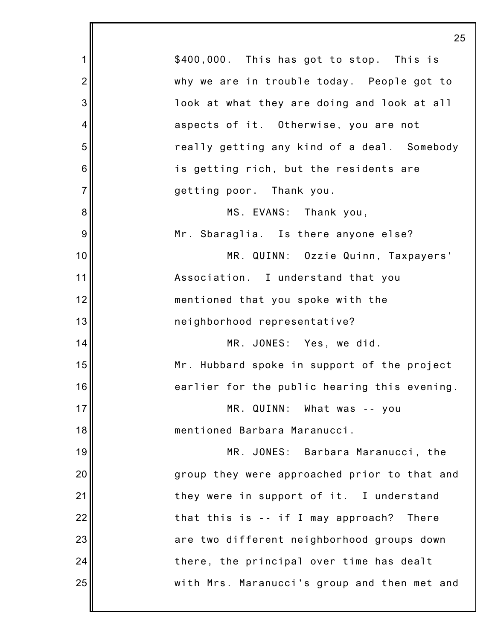|                  | 25                                           |
|------------------|----------------------------------------------|
| 1                | \$400,000. This has got to stop. This is     |
| $\overline{2}$   | why we are in trouble today. People got to   |
| 3                | look at what they are doing and look at all  |
| $\overline{4}$   | aspects of it. Otherwise, you are not        |
| 5                | really getting any kind of a deal. Somebody  |
| 6                | is getting rich, but the residents are       |
| $\overline{7}$   | getting poor. Thank you.                     |
| 8                | MS. EVANS: Thank you,                        |
| $\boldsymbol{9}$ | Mr. Sbaraglia. Is there anyone else?         |
| 10               | MR. QUINN: Ozzie Quinn, Taxpayers'           |
| 11               | Association. I understand that you           |
| 12               | mentioned that you spoke with the            |
| 13               | neighborhood representative?                 |
| 14               | MR. JONES: Yes, we did.                      |
| 15               | Mr. Hubbard spoke in support of the project  |
| 16               | earlier for the public hearing this evening. |
| 17               | MR. QUINN: What was -- you                   |
| 18               | mentioned Barbara Maranucci.                 |
| 19               | MR. JONES: Barbara Maranucci, the            |
| 20               | group they were approached prior to that and |
| 21               | they were in support of it. I understand     |
| 22               | that this is -- if I may approach?<br>There  |
| 23               | are two different neighborhood groups down   |
| 24               | there, the principal over time has dealt     |
| 25               | with Mrs. Maranucci's group and then met and |
|                  |                                              |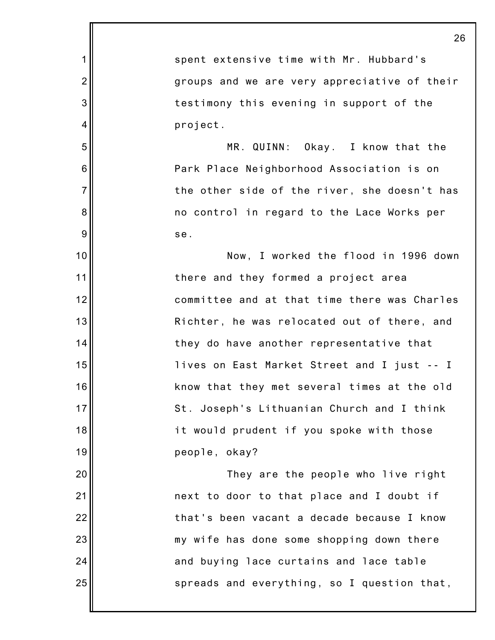1 2 3 4 5 6 7 8 9 10 11 12 13 14 15 16 17 18 19 20 21 22 23 24 25 26 spent extensive time with Mr. Hubbard's groups and we are very appreciative of their testimony this evening in support of the project. MR. QUINN: Okay. I know that the Park Place Neighborhood Association is on the other side of the river, she doesn't has no control in regard to the Lace Works per se. Now, I worked the flood in 1996 down there and they formed a project area committee and at that time there was Charles Richter, he was relocated out of there, and they do have another representative that lives on East Market Street and I just -- I know that they met several times at the old St. Joseph's Lithuanian Church and I think it would prudent if you spoke with those people, okay? They are the people who live right next to door to that place and I doubt if that's been vacant a decade because I know my wife has done some shopping down there and buying lace curtains and lace table spreads and everything, so I question that,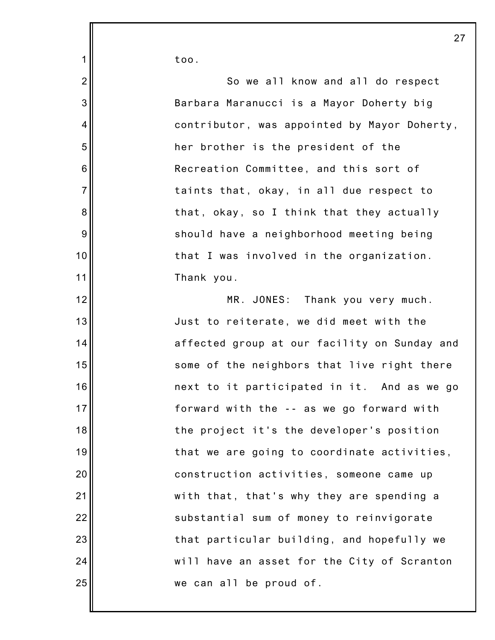too.

1

2 3 4 5 6 7 8 9 10 11 12 13 14 15 16 17 18 19 20 21 22 23 24 25 So we all know and all do respect Barbara Maranucci is a Mayor Doherty big contributor, was appointed by Mayor Doherty, her brother is the president of the Recreation Committee, and this sort of taints that, okay, in all due respect to that, okay, so I think that they actually should have a neighborhood meeting being that I was involved in the organization. Thank you. MR. JONES: Thank you very much. Just to reiterate, we did meet with the affected group at our facility on Sunday and some of the neighbors that live right there next to it participated in it. And as we go forward with the -- as we go forward with the project it's the developer's position that we are going to coordinate activities, construction activities, someone came up with that, that's why they are spending a substantial sum of money to reinvigorate that particular building, and hopefully we will have an asset for the City of Scranton we can all be proud of.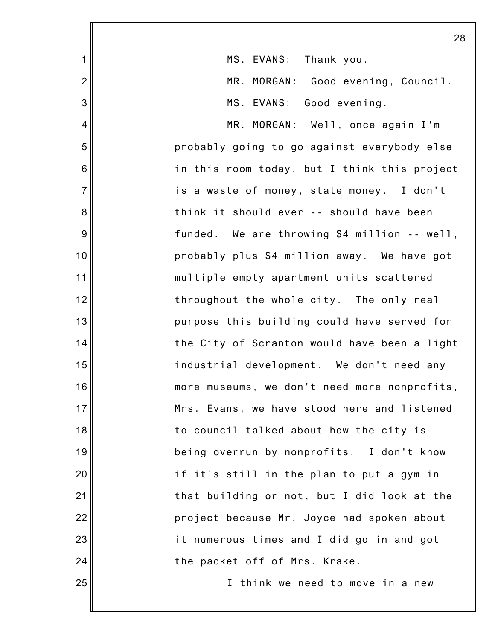|                | 28                                           |
|----------------|----------------------------------------------|
| 1              | MS. EVANS: Thank you.                        |
| $\overline{c}$ | MR. MORGAN: Good evening, Council.           |
| 3              | MS. EVANS: Good evening.                     |
| 4              | MR. MORGAN: Well, once again I'm             |
| 5              | probably going to go against everybody else  |
| 6              | in this room today, but I think this project |
| $\overline{7}$ | is a waste of money, state money. I don't    |
| 8              | think it should ever -- should have been     |
| $9$            | funded. We are throwing \$4 million -- well, |
| 10             | probably plus \$4 million away. We have got  |
| 11             | multiple empty apartment units scattered     |
| 12             | throughout the whole city. The only real     |
| 13             | purpose this building could have served for  |
| 14             | the City of Scranton would have been a light |
| 15             | industrial development. We don't need any    |
| 16             | more museums, we don't need more nonprofits, |
| 17             | Mrs. Evans, we have stood here and listened  |
| 18             | to council talked about how the city is      |
| 19             | being overrun by nonprofits. I don't know    |
| 20             | if it's still in the plan to put a gym in    |
| 21             | that building or not, but I did look at the  |
| 22             | project because Mr. Joyce had spoken about   |
| 23             | it numerous times and I did go in and got    |
| 24             | the packet off of Mrs. Krake.                |
| 25             | I think we need to move in a new             |
|                |                                              |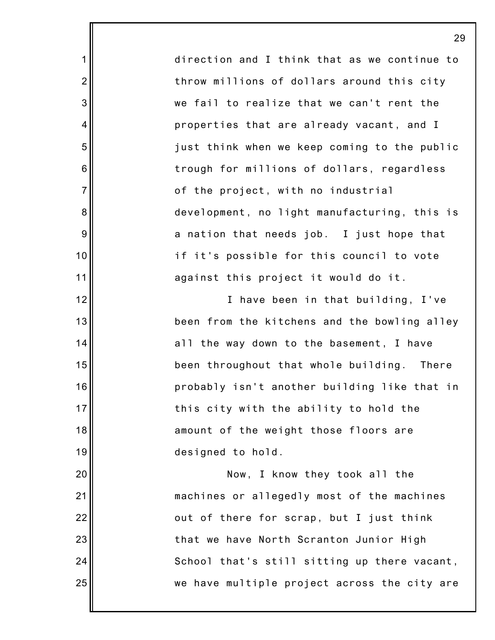direction and I think that as we continue to throw millions of dollars around this city we fail to realize that we can't rent the properties that are already vacant, and I just think when we keep coming to the public trough for millions of dollars, regardless of the project, with no industrial development, no light manufacturing, this is a nation that needs job. I just hope that if it's possible for this council to vote against this project it would do it.

1

2

3

4

5

6

7

8

9

10

11

12

13

14

15

16

17

18

19

20

21

22

23

24

25

I have been in that building, I've been from the kitchens and the bowling alley all the way down to the basement, I have been throughout that whole building. There probably isn't another building like that in this city with the ability to hold the amount of the weight those floors are designed to hold.

Now, I know they took all the machines or allegedly most of the machines out of there for scrap, but I just think that we have North Scranton Junior High School that's still sitting up there vacant, we have multiple project across the city are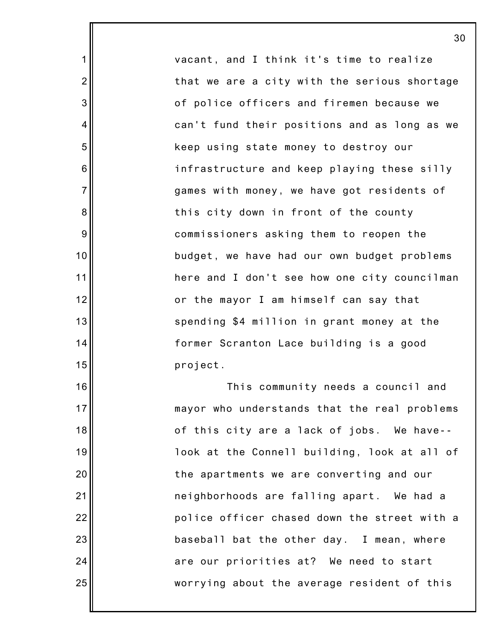vacant, and I think it's time to realize that we are a city with the serious shortage of police officers and firemen because we can't fund their positions and as long as we keep using state money to destroy our infrastructure and keep playing these silly games with money, we have got residents of this city down in front of the county commissioners asking them to reopen the budget, we have had our own budget problems here and I don't see how one city councilman or the mayor I am himself can say that spending \$4 million in grant money at the former Scranton Lace building is a good project. This community needs a council and

1

2

3

4

5

6

7

8

9

10

11

12

13

14

15

16

17

18

19

20

21

22

23

24

25

mayor who understands that the real problems of this city are a lack of jobs. We have- look at the Connell building, look at all of the apartments we are converting and our neighborhoods are falling apart. We had a police officer chased down the street with a baseball bat the other day. I mean, where are our priorities at? We need to start worrying about the average resident of this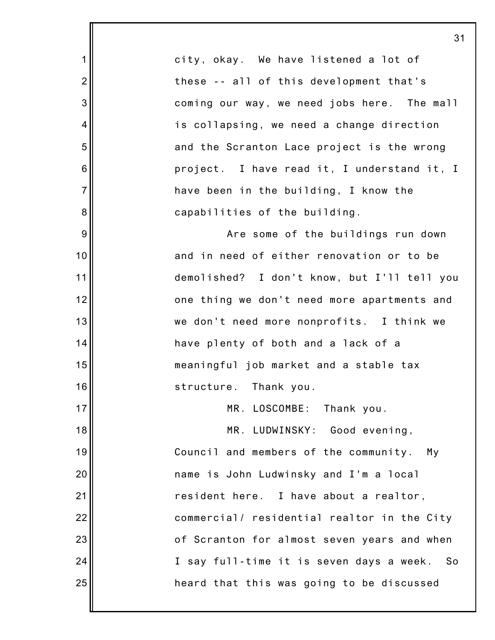city, okay. We have listened a lot of these -- all of this development that's coming our way, we need jobs here. The mall is collapsing, we need a change direction and the Scranton Lace project is the wrong project. I have read it, I understand it, I have been in the building, I know the capabilities of the building. Are some of the buildings run down and in need of either renovation or to be demolished? I don't know, but I'll tell you one thing we don't need more apartments and we don't need more nonprofits. I think we have plenty of both and a lack of a meaningful job market and a stable tax structure. Thank you. MR. LOSCOMBE: Thank you. MR. LUDWINSKY: Good evening, Council and members of the community. My name is John Ludwinsky and I'm a local resident here. I have about a realtor, commercial/ residential realtor in the City

1

2

3

4

5

6

7

8

9

10

11

12

13

14

15

16

17

18

19

20

21

22

23

24

25

of Scranton for almost seven years and when I say full-time it is seven days a week. So heard that this was going to be discussed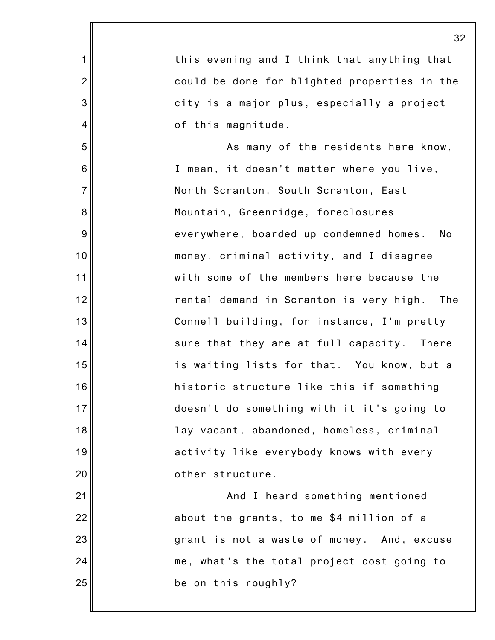|                | 32                                           |
|----------------|----------------------------------------------|
| $\mathbf 1$    | this evening and I think that anything that  |
| $\overline{2}$ | could be done for blighted properties in the |
| 3              | city is a major plus, especially a project   |
| 4              | of this magnitude.                           |
| 5              | As many of the residents here know,          |
| 6              | I mean, it doesn't matter where you live,    |
| $\overline{7}$ | North Scranton, South Scranton, East         |
| 8              | Mountain, Greenridge, foreclosures           |
| 9              | everywhere, boarded up condemned homes. No   |
| 10             | money, criminal activity, and I disagree     |
| 11             | with some of the members here because the    |
| 12             | rental demand in Scranton is very high. The  |
| 13             | Connell building, for instance, I'm pretty   |
| 14             | sure that they are at full capacity. There   |
| 15             | is waiting lists for that. You know, but a   |
| 16             | historic structure like this if something    |
| 17             | doesn't do something with it it's going to   |
| 18             | lay vacant, abandoned, homeless, criminal    |
| 19             | activity like everybody knows with every     |
| 20             | other structure.                             |
| 21             | And I heard something mentioned              |
| 22             | about the grants, to me \$4 million of a     |
| 23             | grant is not a waste of money. And, excuse   |
| 24             | me, what's the total project cost going to   |
| 25             | be on this roughly?                          |
|                |                                              |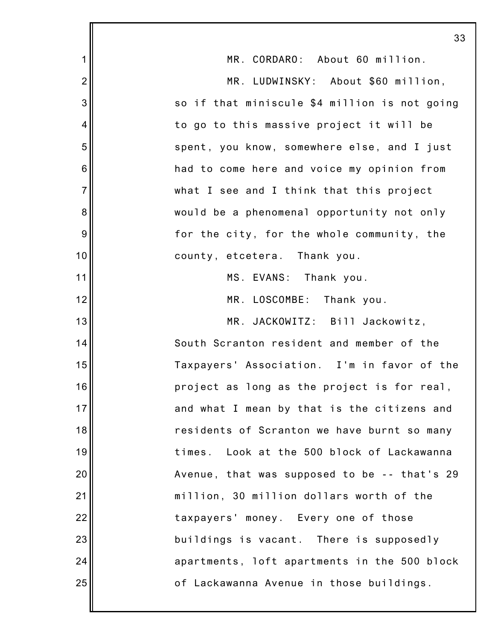|                 | 33                                            |
|-----------------|-----------------------------------------------|
| 1               | MR. CORDARO: About 60 million.                |
| $\overline{c}$  | MR. LUDWINSKY: About \$60 million,            |
| 3               | so if that miniscule \$4 million is not going |
| 4               | to go to this massive project it will be      |
| 5               | spent, you know, somewhere else, and I just   |
| $6\phantom{1}6$ | had to come here and voice my opinion from    |
| $\overline{7}$  | what I see and I think that this project      |
| 8               | would be a phenomenal opportunity not only    |
| 9               | for the city, for the whole community, the    |
| 10              | county, etcetera. Thank you.                  |
| 11              | MS. EVANS: Thank you.                         |
| 12              | MR. LOSCOMBE: Thank you.                      |
| 13              | MR. JACKOWITZ: Bill Jackowitz,                |
| 14              | South Scranton resident and member of the     |
| 15              | Taxpayers' Association. I'm in favor of the   |
| 16              | project as long as the project is for real,   |
| 17              | and what I mean by that is the citizens and   |
| 18              | residents of Scranton we have burnt so many   |
| 19              | times. Look at the 500 block of Lackawanna    |
| 20              | Avenue, that was supposed to be -- that's 29  |
| 21              | million, 30 million dollars worth of the      |
| 22              | taxpayers' money. Every one of those          |
| 23              | buildings is vacant. There is supposedly      |
| 24              | apartments, loft apartments in the 500 block  |
| 25              | of Lackawanna Avenue in those buildings.      |
|                 |                                               |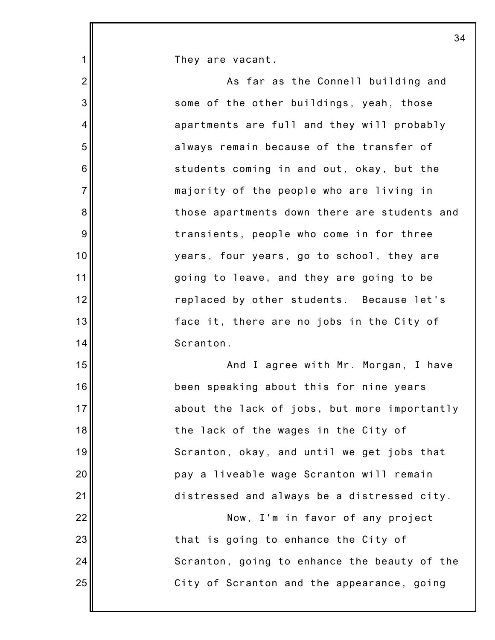They are vacant.

1

2

3

4

5

6

7

8

9

10

11

12

13

14

15

16

17

18

19

20

21

22

23

24

25

As far as the Connell building and some of the other buildings, yeah, those apartments are full and they will probably always remain because of the transfer of students coming in and out, okay, but the majority of the people who are living in those apartments down there are students and transients, people who come in for three years, four years, go to school, they are going to leave, and they are going to be replaced by other students. Because let's face it, there are no jobs in the City of Scranton. And I agree with Mr. Morgan, I have

been speaking about this for nine years about the lack of jobs, but more importantly the lack of the wages in the City of Scranton, okay, and until we get jobs that pay a liveable wage Scranton will remain distressed and always be a distressed city.

Now, I'm in favor of any project that is going to enhance the City of Scranton, going to enhance the beauty of the City of Scranton and the appearance, going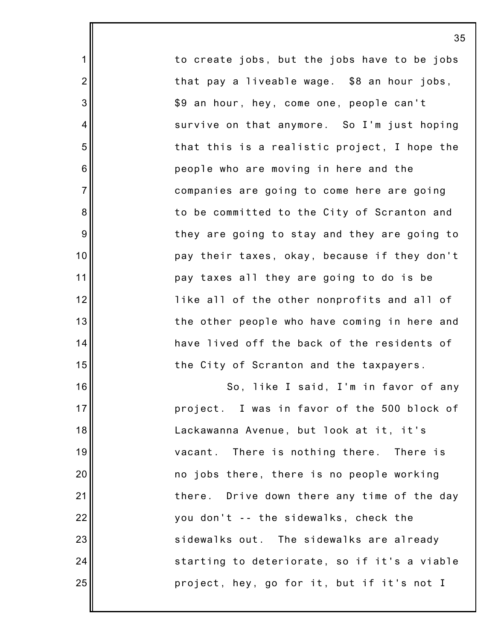to create jobs, but the jobs have to be jobs that pay a liveable wage. \$8 an hour jobs, \$9 an hour, hey, come one, people can't survive on that anymore. So I'm just hoping that this is a realistic project, I hope the people who are moving in here and the companies are going to come here are going to be committed to the City of Scranton and they are going to stay and they are going to pay their taxes, okay, because if they don't pay taxes all they are going to do is be like all of the other nonprofits and all of the other people who have coming in here and have lived off the back of the residents of the City of Scranton and the taxpayers.

1

2

3

4

5

6

7

8

9

10

11

12

13

14

15

16

17

18

19

20

21

22

23

24

25

So, like I said, I'm in favor of any project. I was in favor of the 500 block of Lackawanna Avenue, but look at it, it's vacant. There is nothing there. There is no jobs there, there is no people working there. Drive down there any time of the day you don't -- the sidewalks, check the sidewalks out. The sidewalks are already starting to deteriorate, so if it's a viable project, hey, go for it, but if it's not I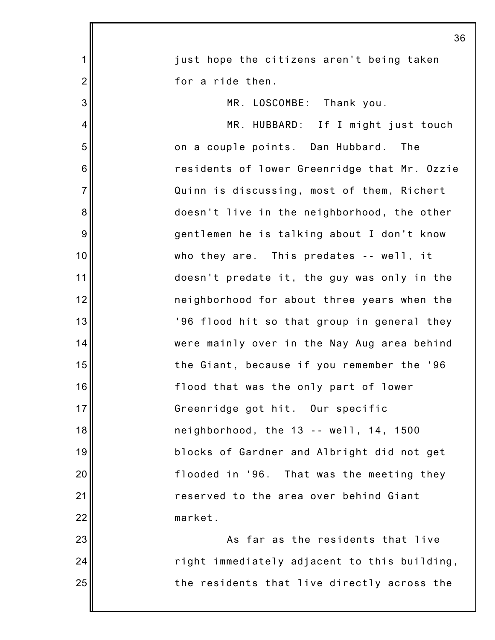|                  | 36                                           |
|------------------|----------------------------------------------|
| 1                | just hope the citizens aren't being taken    |
| $\overline{2}$   | for a ride then.                             |
| 3                | MR. LOSCOMBE: Thank you.                     |
| 4                | MR. HUBBARD: If I might just touch           |
| 5                | on a couple points. Dan Hubbard.<br>The      |
| 6                | residents of lower Greenridge that Mr. Ozzie |
| $\overline{7}$   | Quinn is discussing, most of them, Richert   |
| 8                | doesn't live in the neighborhood, the other  |
| $\boldsymbol{9}$ | gentlemen he is talking about I don't know   |
| 10               | who they are. This predates -- well, it      |
| 11               | doesn't predate it, the guy was only in the  |
| 12               | neighborhood for about three years when the  |
| 13               | '96 flood hit so that group in general they  |
| 14               | were mainly over in the Nay Aug area behind  |
| 15               | the Giant, because if you remember the '96   |
| 16               | flood that was the only part of lower        |
| 17               | Greenridge got hit. Our specific             |
| 18               | neighborhood, the 13 -- well, 14, 1500       |
| 19               | blocks of Gardner and Albright did not get   |
| 20               | flooded in '96. That was the meeting they    |
| 21               | reserved to the area over behind Giant       |
| 22               | market.                                      |
| 23               | As far as the residents that live            |
| 24               | right immediately adjacent to this building, |
| 25               | the residents that live directly across the  |
|                  |                                              |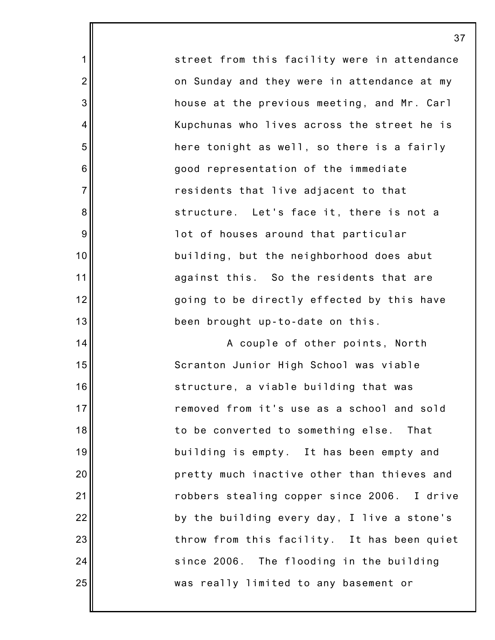street from this facility were in attendance on Sunday and they were in attendance at my house at the previous meeting, and Mr. Carl Kupchunas who lives across the street he is here tonight as well, so there is a fairly good representation of the immediate residents that live adjacent to that structure. Let's face it, there is not a lot of houses around that particular building, but the neighborhood does abut against this. So the residents that are going to be directly effected by this have been brought up-to-date on this.

1

2

3

4

5

6

7

8

9

10

11

12

13

14

15

16

17

18

19

20

21

22

23

24

25

A couple of other points, North Scranton Junior High School was viable structure, a viable building that was removed from it's use as a school and sold to be converted to something else. That building is empty. It has been empty and pretty much inactive other than thieves and robbers stealing copper since 2006. I drive by the building every day, I live a stone's throw from this facility. It has been quiet since 2006. The flooding in the building was really limited to any basement or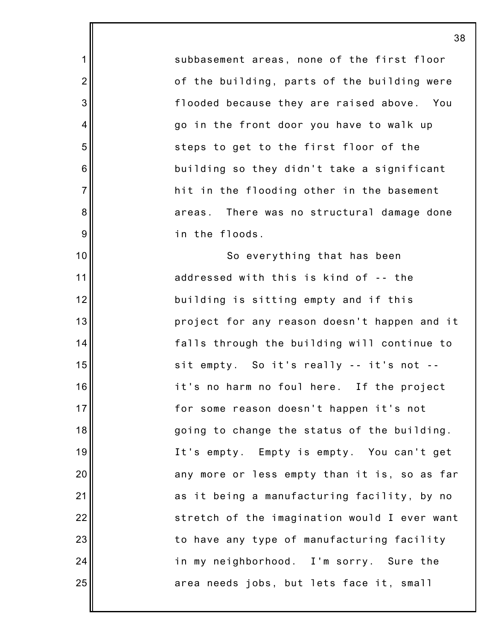subbasement areas, none of the first floor of the building, parts of the building were flooded because they are raised above. You go in the front door you have to walk up steps to get to the first floor of the building so they didn't take a significant hit in the flooding other in the basement areas. There was no structural damage done in the floods.

1

2

3

4

5

6

7

8

9

10

11

12

13

14

15

16

17

18

19

20

21

22

23

24

25

So everything that has been addressed with this is kind of -- the building is sitting empty and if this project for any reason doesn't happen and it falls through the building will continue to sit empty. So it's really -- it's not - it's no harm no foul here. If the project for some reason doesn't happen it's not going to change the status of the building. It's empty. Empty is empty. You can't get any more or less empty than it is, so as far as it being a manufacturing facility, by no stretch of the imagination would I ever want to have any type of manufacturing facility in my neighborhood. I'm sorry. Sure the area needs jobs, but lets face it, small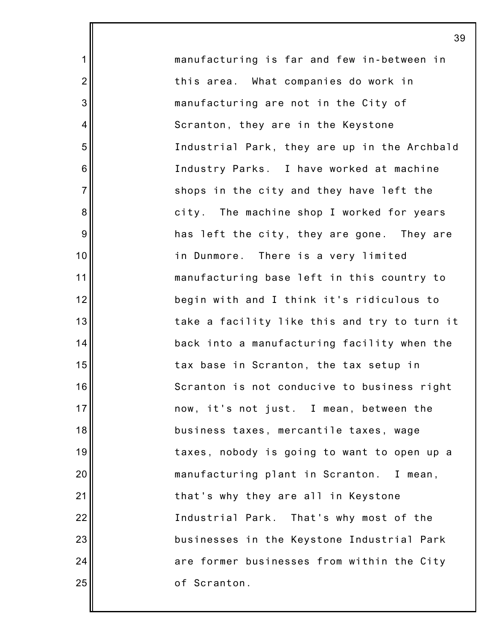manufacturing is far and few in-between in this area. What companies do work in manufacturing are not in the City of Scranton, they are in the Keystone Industrial Park, they are up in the Archbald Industry Parks. I have worked at machine shops in the city and they have left the city. The machine shop I worked for years has left the city, they are gone. They are in Dunmore. There is a very limited manufacturing base left in this country to begin with and I think it's ridiculous to take a facility like this and try to turn it back into a manufacturing facility when the tax base in Scranton, the tax setup in Scranton is not conducive to business right now, it's not just. I mean, between the business taxes, mercantile taxes, wage taxes, nobody is going to want to open up a manufacturing plant in Scranton. I mean, that's why they are all in Keystone Industrial Park. That's why most of the businesses in the Keystone Industrial Park are former businesses from within the City of Scranton.

39

1

2

3

4

5

6

7

8

9

10

11

12

13

14

15

16

17

18

19

20

21

22

23

24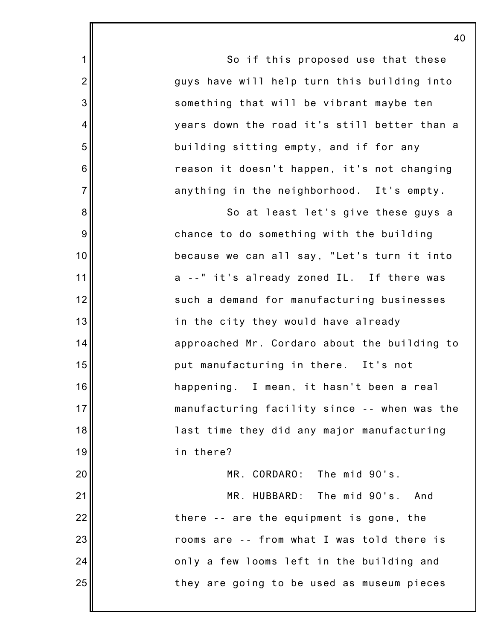So if this proposed use that these guys have will help turn this building into something that will be vibrant maybe ten years down the road it's still better than a building sitting empty, and if for any reason it doesn't happen, it's not changing anything in the neighborhood. It's empty.

1

2

3

4

5

6

7

8

9

10

11

12

13

14

15

16

17

18

19

20

21

22

23

24

25

So at least let's give these guys a chance to do something with the building because we can all say, "Let's turn it into a --" it's already zoned IL. If there was such a demand for manufacturing businesses in the city they would have already approached Mr. Cordaro about the building to put manufacturing in there. It's not happening. I mean, it hasn't been a real manufacturing facility since -- when was the last time they did any major manufacturing in there?

MR. CORDARO: The mid 90's.

MR. HUBBARD: The mid 90's. And there -- are the equipment is gone, the rooms are -- from what I was told there is only a few looms left in the building and they are going to be used as museum pieces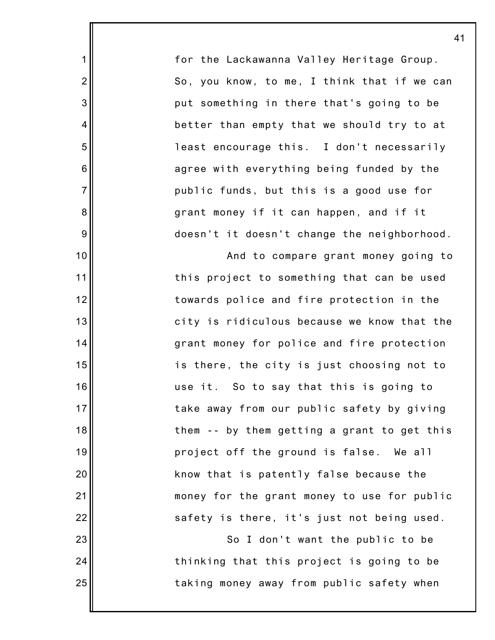for the Lackawanna Valley Heritage Group. So, you know, to me, I think that if we can put something in there that's going to be better than empty that we should try to at least encourage this. I don't necessarily agree with everything being funded by the public funds, but this is a good use for grant money if it can happen, and if it doesn't it doesn't change the neighborhood.

1

2

3

4

5

6

7

8

9

10

11

12

13

14

15

16

17

18

19

20

21

22

23

24

25

And to compare grant money going to this project to something that can be used towards police and fire protection in the city is ridiculous because we know that the grant money for police and fire protection is there, the city is just choosing not to use it. So to say that this is going to take away from our public safety by giving them -- by them getting a grant to get this project off the ground is false. We all know that is patently false because the money for the grant money to use for public safety is there, it's just not being used.

So I don't want the public to be thinking that this project is going to be taking money away from public safety when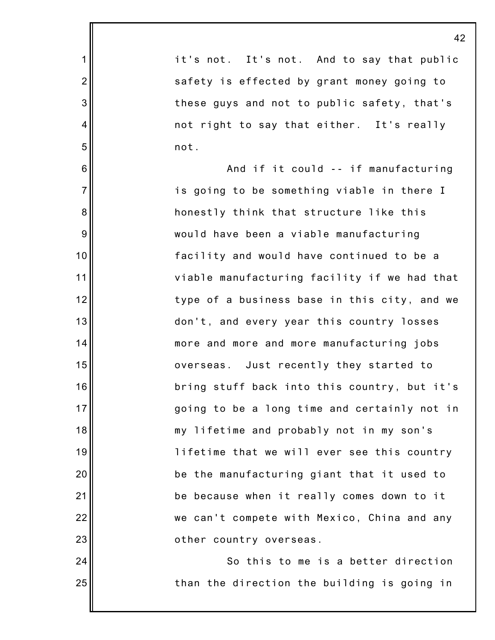|                  | 41                                           |
|------------------|----------------------------------------------|
| 1                | it's not. It's not. And to say that public   |
| $\overline{2}$   | safety is effected by grant money going to   |
| $\mathbf{3}$     | these guys and not to public safety, that's  |
| 4                | not right to say that either. It's really    |
| $\mathbf 5$      | not.                                         |
| $\,6$            | And if it could -- if manufacturing          |
| $\overline{7}$   | is going to be something viable in there I   |
| 8                | honestly think that structure like this      |
| $\boldsymbol{9}$ | would have been a viable manufacturing       |
| 10               | facility and would have continued to be a    |
| 11               | viable manufacturing facility if we had that |
| 12               | type of a business base in this city, and we |
| 13               | don't, and every year this country losses    |
| 14               | more and more and more manufacturing jobs    |
| 15               | overseas. Just recently they started to      |
| 16 <sub>l</sub>  | bring stuff back into this country, but it's |
| 17               | going to be a long time and certainly not in |
| 18               | my lifetime and probably not in my son's     |
| 19               | lifetime that we will ever see this country  |
| 20               | be the manufacturing giant that it used to   |
| 21               | be because when it really comes down to it   |
| 22               | we can't compete with Mexico, China and any  |
| 23               | other country overseas.                      |
| 24               | So this to me is a better direction          |

25

than the direction the building is going in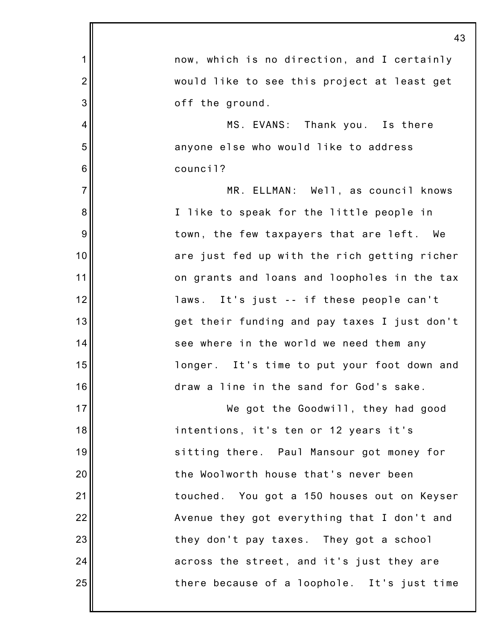|                 | 43                                           |
|-----------------|----------------------------------------------|
| 1               | now, which is no direction, and I certainly  |
| $\overline{c}$  | would like to see this project at least get  |
| 3               | off the ground.                              |
| 4               | MS. EVANS: Thank you. Is there               |
| 5               | anyone else who would like to address        |
| $6\phantom{1}6$ | council?                                     |
| $\overline{7}$  | MR. ELLMAN: Well, as council knows           |
| 8               | I like to speak for the little people in     |
| 9               | town, the few taxpayers that are left. We    |
| 10              | are just fed up with the rich getting richer |
| 11              | on grants and loans and loopholes in the tax |
| 12              | laws. It's just -- if these people can't     |
| 13              | get their funding and pay taxes I just don't |
| 14              | see where in the world we need them any      |
| 15              | longer. It's time to put your foot down and  |
| 16              | draw a line in the sand for God's sake.      |
| 17              | We got the Goodwill, they had good           |
| 18              | intentions, it's ten or 12 years it's        |
| 19              | sitting there. Paul Mansour got money for    |
| 20              | the Woolworth house that's never been        |
| 21              | touched. You got a 150 houses out on Keyser  |
| 22              | Avenue they got everything that I don't and  |
| 23              | they don't pay taxes. They got a school      |
| 24              | across the street, and it's just they are    |
| 25              | there because of a loophole. It's just time  |
|                 |                                              |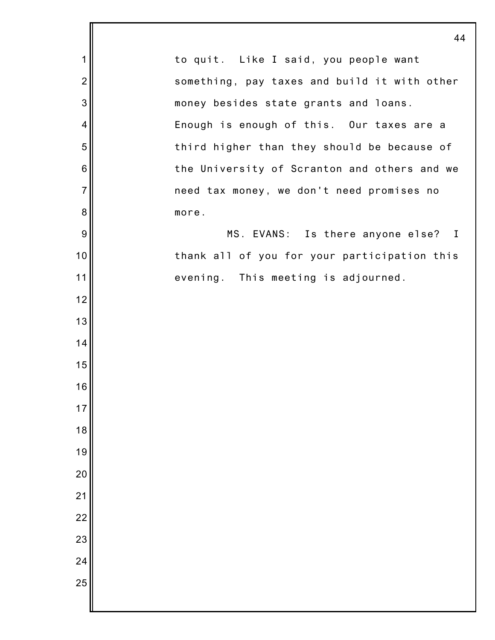|                | 44                                           |
|----------------|----------------------------------------------|
| 1              | to quit. Like I said, you people want        |
| $\overline{2}$ | something, pay taxes and build it with other |
| 3              | money besides state grants and loans.        |
| 4              | Enough is enough of this. Our taxes are a    |
| 5              | third higher than they should be because of  |
| 6              | the University of Scranton and others and we |
| $\overline{7}$ | need tax money, we don't need promises no    |
| 8              | more.                                        |
| 9              | MS. EVANS: Is there anyone else? I           |
| 10             | thank all of you for your participation this |
| 11             | evening. This meeting is adjourned.          |
| 12             |                                              |
| 13             |                                              |
| 14             |                                              |
| 15             |                                              |
| 16             |                                              |
| 17             |                                              |
| 18             |                                              |
| 19             |                                              |
| 20             |                                              |
| 21             |                                              |
| 22             |                                              |
| 23             |                                              |
| 24             |                                              |
| 25             |                                              |
|                |                                              |